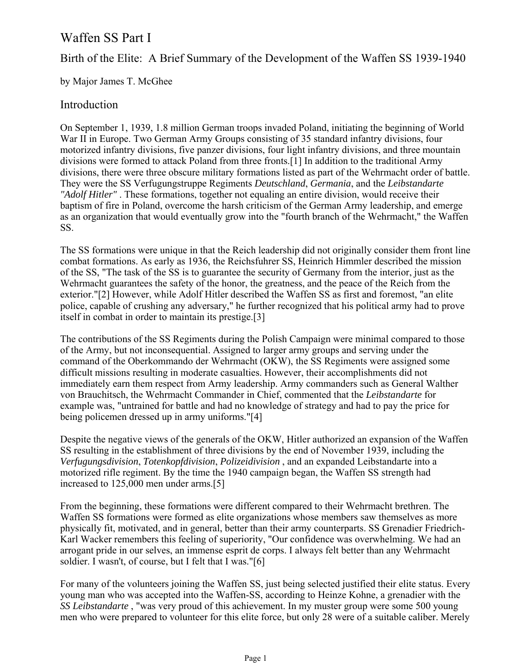# Waffen SS Part I

# Birth of the Elite: A Brief Summary of the Development of the Waffen SS 1939-1940

by Major James T. McGhee

### Introduction

On September 1, 1939, 1.8 million German troops invaded Poland, initiating the beginning of World War II in Europe. Two German Army Groups consisting of 35 standard infantry divisions, four motorized infantry divisions, five panzer divisions, four light infantry divisions, and three mountain divisions were formed to attack Poland from three fronts.[1] In addition to the traditional Army divisions, there were three obscure military formations listed as part of the Wehrmacht order of battle. They were the SS Verfugungstruppe Regiments *Deutschland*, *Germania*, and the *Leibstandarte "Adolf Hitler"* . These formations, together not equaling an entire division, would receive their baptism of fire in Poland, overcome the harsh criticism of the German Army leadership, and emerge as an organization that would eventually grow into the "fourth branch of the Wehrmacht," the Waffen SS.

The SS formations were unique in that the Reich leadership did not originally consider them front line combat formations. As early as 1936, the Reichsfuhrer SS, Heinrich Himmler described the mission of the SS, "The task of the SS is to guarantee the security of Germany from the interior, just as the Wehrmacht guarantees the safety of the honor, the greatness, and the peace of the Reich from the exterior."[2] However, while Adolf Hitler described the Waffen SS as first and foremost, "an elite police, capable of crushing any adversary," he further recognized that his political army had to prove itself in combat in order to maintain its prestige.[3]

The contributions of the SS Regiments during the Polish Campaign were minimal compared to those of the Army, but not inconsequential. Assigned to larger army groups and serving under the command of the Oberkommando der Wehrmacht (OKW), the SS Regiments were assigned some difficult missions resulting in moderate casualties. However, their accomplishments did not immediately earn them respect from Army leadership. Army commanders such as General Walther von Brauchitsch, the Wehrmacht Commander in Chief, commented that the *Leibstandarte* for example was, "untrained for battle and had no knowledge of strategy and had to pay the price for being policemen dressed up in army uniforms."[4]

Despite the negative views of the generals of the OKW, Hitler authorized an expansion of the Waffen SS resulting in the establishment of three divisions by the end of November 1939, including the *Verfugungsdivision*, *Totenkopfdivision*, *Polizeidivision* , and an expanded Leibstandarte into a motorized rifle regiment. By the time the 1940 campaign began, the Waffen SS strength had increased to 125,000 men under arms.[5]

From the beginning, these formations were different compared to their Wehrmacht brethren. The Waffen SS formations were formed as elite organizations whose members saw themselves as more physically fit, motivated, and in general, better than their army counterparts. SS Grenadier Friedrich-Karl Wacker remembers this feeling of superiority, "Our confidence was overwhelming. We had an arrogant pride in our selves, an immense esprit de corps. I always felt better than any Wehrmacht soldier. I wasn't, of course, but I felt that I was."[6]

For many of the volunteers joining the Waffen SS, just being selected justified their elite status. Every young man who was accepted into the Waffen-SS, according to Heinze Kohne, a grenadier with the *SS Leibstandarte* , "was very proud of this achievement. In my muster group were some 500 young men who were prepared to volunteer for this elite force, but only 28 were of a suitable caliber. Merely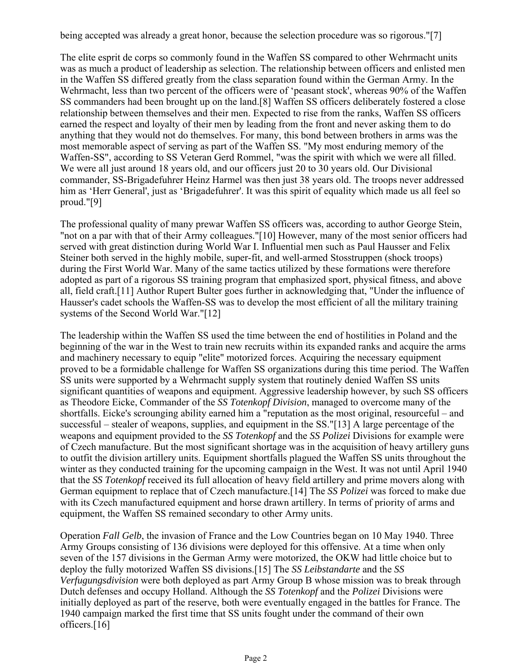being accepted was already a great honor, because the selection procedure was so rigorous."[7]

The elite esprit de corps so commonly found in the Waffen SS compared to other Wehrmacht units was as much a product of leadership as selection. The relationship between officers and enlisted men in the Waffen SS differed greatly from the class separation found within the German Army. In the Wehrmacht, less than two percent of the officers were of 'peasant stock', whereas 90% of the Waffen SS commanders had been brought up on the land.[8] Waffen SS officers deliberately fostered a close relationship between themselves and their men. Expected to rise from the ranks, Waffen SS officers earned the respect and loyalty of their men by leading from the front and never asking them to do anything that they would not do themselves. For many, this bond between brothers in arms was the most memorable aspect of serving as part of the Waffen SS. "My most enduring memory of the Waffen-SS", according to SS Veteran Gerd Rommel, "was the spirit with which we were all filled. We were all just around 18 years old, and our officers just 20 to 30 years old. Our Divisional commander, SS-Brigadefuhrer Heinz Harmel was then just 38 years old. The troops never addressed him as 'Herr General', just as 'Brigadefuhrer'. It was this spirit of equality which made us all feel so proud."[9]

The professional quality of many prewar Waffen SS officers was, according to author George Stein, "not on a par with that of their Army colleagues."[10] However, many of the most senior officers had served with great distinction during World War I. Influential men such as Paul Hausser and Felix Steiner both served in the highly mobile, super-fit, and well-armed Stosstruppen (shock troops) during the First World War. Many of the same tactics utilized by these formations were therefore adopted as part of a rigorous SS training program that emphasized sport, physical fitness, and above all, field craft.[11] Author Rupert Bulter goes further in acknowledging that, "Under the influence of Hausser's cadet schools the Waffen-SS was to develop the most efficient of all the military training systems of the Second World War."[12]

The leadership within the Waffen SS used the time between the end of hostilities in Poland and the beginning of the war in the West to train new recruits within its expanded ranks and acquire the arms and machinery necessary to equip "elite" motorized forces. Acquiring the necessary equipment proved to be a formidable challenge for Waffen SS organizations during this time period. The Waffen SS units were supported by a Wehrmacht supply system that routinely denied Waffen SS units significant quantities of weapons and equipment. Aggressive leadership however, by such SS officers as Theodore Eicke, Commander of the *SS Totenkopf Division*, managed to overcome many of the shortfalls. Eicke's scrounging ability earned him a "reputation as the most original, resourceful – and successful – stealer of weapons, supplies, and equipment in the SS."[13] A large percentage of the weapons and equipment provided to the *SS Totenkopf* and the *SS Polizei* Divisions for example were of Czech manufacture. But the most significant shortage was in the acquisition of heavy artillery guns to outfit the division artillery units. Equipment shortfalls plagued the Waffen SS units throughout the winter as they conducted training for the upcoming campaign in the West. It was not until April 1940 that the *SS Totenkopf* received its full allocation of heavy field artillery and prime movers along with German equipment to replace that of Czech manufacture.[14] The *SS Polizei* was forced to make due with its Czech manufactured equipment and horse drawn artillery. In terms of priority of arms and equipment, the Waffen SS remained secondary to other Army units.

Operation *Fall Gelb*, the invasion of France and the Low Countries began on 10 May 1940. Three Army Groups consisting of 136 divisions were deployed for this offensive. At a time when only seven of the 157 divisions in the German Army were motorized, the OKW had little choice but to deploy the fully motorized Waffen SS divisions.[15] The *SS Leibstandarte* and the *SS Verfugungsdivision* were both deployed as part Army Group B whose mission was to break through Dutch defenses and occupy Holland. Although the *SS Totenkopf* and the *Polizei* Divisions were initially deployed as part of the reserve, both were eventually engaged in the battles for France. The 1940 campaign marked the first time that SS units fought under the command of their own officers.[16]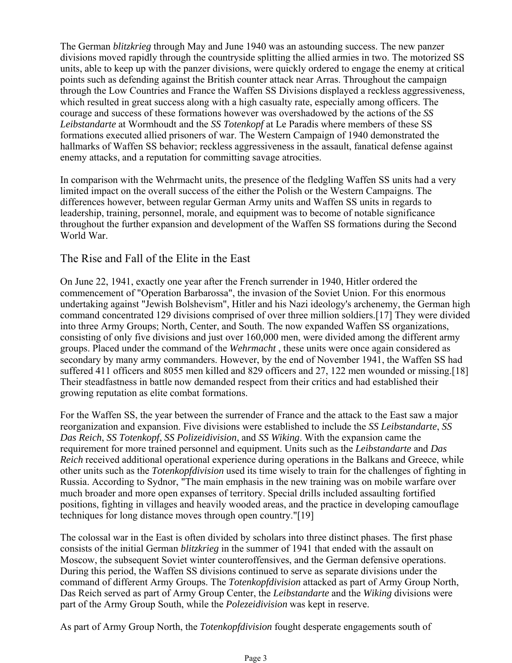The German *blitzkrieg* through May and June 1940 was an astounding success. The new panzer divisions moved rapidly through the countryside splitting the allied armies in two. The motorized SS units, able to keep up with the panzer divisions, were quickly ordered to engage the enemy at critical points such as defending against the British counter attack near Arras. Throughout the campaign through the Low Countries and France the Waffen SS Divisions displayed a reckless aggressiveness, which resulted in great success along with a high casualty rate, especially among officers. The courage and success of these formations however was overshadowed by the actions of the *SS Leibstandarte* at Wormhoudt and the *SS Totenkopf* at Le Paradis where members of these SS formations executed allied prisoners of war. The Western Campaign of 1940 demonstrated the hallmarks of Waffen SS behavior; reckless aggressiveness in the assault, fanatical defense against enemy attacks, and a reputation for committing savage atrocities.

In comparison with the Wehrmacht units, the presence of the fledgling Waffen SS units had a very limited impact on the overall success of the either the Polish or the Western Campaigns. The differences however, between regular German Army units and Waffen SS units in regards to leadership, training, personnel, morale, and equipment was to become of notable significance throughout the further expansion and development of the Waffen SS formations during the Second World War.

#### The Rise and Fall of the Elite in the East

On June 22, 1941, exactly one year after the French surrender in 1940, Hitler ordered the commencement of "Operation Barbarossa", the invasion of the Soviet Union. For this enormous undertaking against "Jewish Bolshevism", Hitler and his Nazi ideology's archenemy, the German high command concentrated 129 divisions comprised of over three million soldiers.[17] They were divided into three Army Groups; North, Center, and South. The now expanded Waffen SS organizations, consisting of only five divisions and just over 160,000 men, were divided among the different army groups. Placed under the command of the *Wehrmacht* , these units were once again considered as secondary by many army commanders. However, by the end of November 1941, the Waffen SS had suffered 411 officers and 8055 men killed and 829 officers and 27, 122 men wounded or missing.[18] Their steadfastness in battle now demanded respect from their critics and had established their growing reputation as elite combat formations.

For the Waffen SS, the year between the surrender of France and the attack to the East saw a major reorganization and expansion. Five divisions were established to include the *SS Leibstandarte*, *SS Das Reich*, *SS Totenkopf*, *SS Polizeidivision*, and *SS Wiking*. With the expansion came the requirement for more trained personnel and equipment. Units such as the *Leibstandarte* and *Das Reich* received additional operational experience during operations in the Balkans and Greece, while other units such as the *Totenkopfdivision* used its time wisely to train for the challenges of fighting in Russia. According to Sydnor, "The main emphasis in the new training was on mobile warfare over much broader and more open expanses of territory. Special drills included assaulting fortified positions, fighting in villages and heavily wooded areas, and the practice in developing camouflage techniques for long distance moves through open country."[19]

The colossal war in the East is often divided by scholars into three distinct phases. The first phase consists of the initial German *blitzkrieg* in the summer of 1941 that ended with the assault on Moscow, the subsequent Soviet winter counteroffensives, and the German defensive operations. During this period, the Waffen SS divisions continued to serve as separate divisions under the command of different Army Groups. The *Totenkopfdivision* attacked as part of Army Group North, Das Reich served as part of Army Group Center, the *Leibstandarte* and the *Wiking* divisions were part of the Army Group South, while the *Polezeidivision* was kept in reserve.

As part of Army Group North, the *Totenkopfdivision* fought desperate engagements south of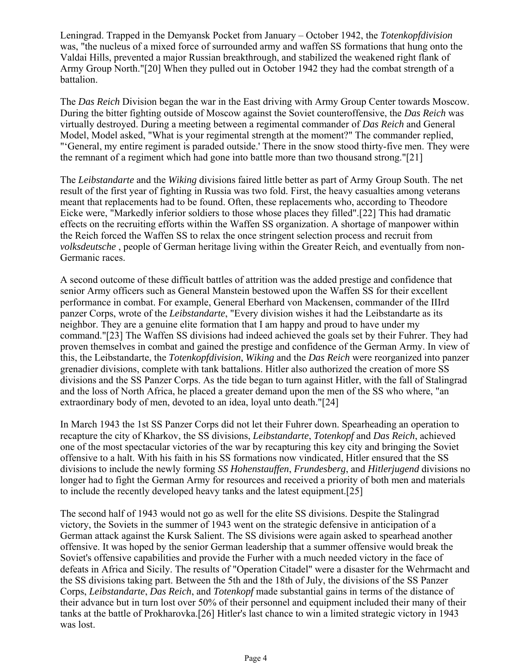Leningrad. Trapped in the Demyansk Pocket from January – October 1942, the *Totenkopfdivision* was, "the nucleus of a mixed force of surrounded army and waffen SS formations that hung onto the Valdai Hills, prevented a major Russian breakthrough, and stabilized the weakened right flank of Army Group North."[20] When they pulled out in October 1942 they had the combat strength of a battalion.

The *Das Reich* Division began the war in the East driving with Army Group Center towards Moscow. During the bitter fighting outside of Moscow against the Soviet counteroffensive, the *Das Reich* was virtually destroyed. During a meeting between a regimental commander of *Das Reich* and General Model, Model asked, "What is your regimental strength at the moment?" The commander replied, "'General, my entire regiment is paraded outside.' There in the snow stood thirty-five men. They were the remnant of a regiment which had gone into battle more than two thousand strong."[21]

The *Leibstandarte* and the *Wiking* divisions faired little better as part of Army Group South. The net result of the first year of fighting in Russia was two fold. First, the heavy casualties among veterans meant that replacements had to be found. Often, these replacements who, according to Theodore Eicke were, "Markedly inferior soldiers to those whose places they filled".[22] This had dramatic effects on the recruiting efforts within the Waffen SS organization. A shortage of manpower within the Reich forced the Waffen SS to relax the once stringent selection process and recruit from *volksdeutsche* , people of German heritage living within the Greater Reich, and eventually from non-Germanic races.

A second outcome of these difficult battles of attrition was the added prestige and confidence that senior Army officers such as General Manstein bestowed upon the Waffen SS for their excellent performance in combat. For example, General Eberhard von Mackensen, commander of the IIIrd panzer Corps, wrote of the *Leibstandarte*, "Every division wishes it had the Leibstandarte as its neighbor. They are a genuine elite formation that I am happy and proud to have under my command."[23] The Waffen SS divisions had indeed achieved the goals set by their Fuhrer. They had proven themselves in combat and gained the prestige and confidence of the German Army. In view of this, the Leibstandarte, the *Totenkopfdivision*, *Wiking* and the *Das Reich* were reorganized into panzer grenadier divisions, complete with tank battalions. Hitler also authorized the creation of more SS divisions and the SS Panzer Corps. As the tide began to turn against Hitler, with the fall of Stalingrad and the loss of North Africa, he placed a greater demand upon the men of the SS who where, "an extraordinary body of men, devoted to an idea, loyal unto death."[24]

In March 1943 the 1st SS Panzer Corps did not let their Fuhrer down. Spearheading an operation to recapture the city of Kharkov, the SS divisions, *Leibstandarte*, *Totenkopf* and *Das Reich*, achieved one of the most spectacular victories of the war by recapturing this key city and bringing the Soviet offensive to a halt. With his faith in his SS formations now vindicated, Hitler ensured that the SS divisions to include the newly forming *SS Hohenstauffen*, *Frundesberg*, and *Hitlerjugend* divisions no longer had to fight the German Army for resources and received a priority of both men and materials to include the recently developed heavy tanks and the latest equipment.[25]

The second half of 1943 would not go as well for the elite SS divisions. Despite the Stalingrad victory, the Soviets in the summer of 1943 went on the strategic defensive in anticipation of a German attack against the Kursk Salient. The SS divisions were again asked to spearhead another offensive. It was hoped by the senior German leadership that a summer offensive would break the Soviet's offensive capabilities and provide the Furher with a much needed victory in the face of defeats in Africa and Sicily. The results of "Operation Citadel" were a disaster for the Wehrmacht and the SS divisions taking part. Between the 5th and the 18th of July, the divisions of the SS Panzer Corps, *Leibstandarte*, *Das Reich*, and *Totenkopf* made substantial gains in terms of the distance of their advance but in turn lost over 50% of their personnel and equipment included their many of their tanks at the battle of Prokharovka.[26] Hitler's last chance to win a limited strategic victory in 1943 was lost.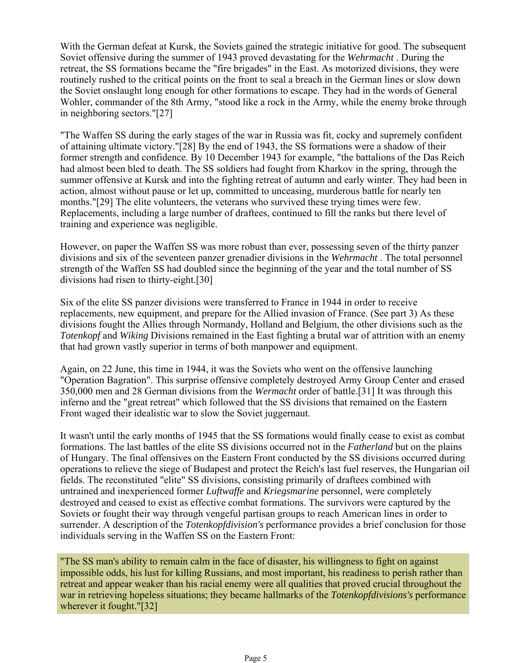With the German defeat at Kursk, the Soviets gained the strategic initiative for good. The subsequent Soviet offensive during the summer of 1943 proved devastating for the *Wehrmacht* . During the retreat, the SS formations became the "fire brigades" in the East. As motorized divisions, they were routinely rushed to the critical points on the front to seal a breach in the German lines or slow down the Soviet onslaught long enough for other formations to escape. They had in the words of General Wohler, commander of the 8th Army, "stood like a rock in the Army, while the enemy broke through in neighboring sectors."[27]

"The Waffen SS during the early stages of the war in Russia was fit, cocky and supremely confident of attaining ultimate victory."[28] By the end of 1943, the SS formations were a shadow of their former strength and confidence. By 10 December 1943 for example, "the battalions of the Das Reich had almost been bled to death. The SS soldiers had fought from Kharkov in the spring, through the summer offensive at Kursk and into the fighting retreat of autumn and early winter. They had been in action, almost without pause or let up, committed to unceasing, murderous battle for nearly ten months."[29] The elite volunteers, the veterans who survived these trying times were few. Replacements, including a large number of draftees, continued to fill the ranks but there level of training and experience was negligible.

However, on paper the Waffen SS was more robust than ever, possessing seven of the thirty panzer divisions and six of the seventeen panzer grenadier divisions in the *Wehrmacht* . The total personnel strength of the Waffen SS had doubled since the beginning of the year and the total number of SS divisions had risen to thirty-eight.[30]

Six of the elite SS panzer divisions were transferred to France in 1944 in order to receive replacements, new equipment, and prepare for the Allied invasion of France. (See part 3) As these divisions fought the Allies through Normandy, Holland and Belgium, the other divisions such as the *Totenkopf* and *Wiking* Divisions remained in the East fighting a brutal war of attrition with an enemy that had grown vastly superior in terms of both manpower and equipment.

Again, on 22 June, this time in 1944, it was the Soviets who went on the offensive launching "Operation Bagration". This surprise offensive completely destroyed Army Group Center and erased 350,000 men and 28 German divisions from the *Wermacht* order of battle.[31] It was through this inferno and the "great retreat" which followed that the SS divisions that remained on the Eastern Front waged their idealistic war to slow the Soviet juggernaut.

It wasn't until the early months of 1945 that the SS formations would finally cease to exist as combat formations. The last battles of the elite SS divisions occurred not in the *Fatherland* but on the plains of Hungary. The final offensives on the Eastern Front conducted by the SS divisions occurred during operations to relieve the siege of Budapest and protect the Reich's last fuel reserves, the Hungarian oil fields. The reconstituted "elite" SS divisions, consisting primarily of draftees combined with untrained and inexperienced former *Luftwaffe* and *Kriegsmarine* personnel, were completely destroyed and ceased to exist as effective combat formations. The survivors were captured by the Soviets or fought their way through vengeful partisan groups to reach American lines in order to surrender. A description of the *Totenkopfdivision's* performance provides a brief conclusion for those individuals serving in the Waffen SS on the Eastern Front:

"The SS man's ability to remain calm in the face of disaster, his willingness to fight on against impossible odds, his lust for killing Russians, and most important, his readiness to perish rather than retreat and appear weaker than his racial enemy were all qualities that proved crucial throughout the war in retrieving hopeless situations; they became hallmarks of the *Totenkopfdivisions's* performance wherever it fought."[32]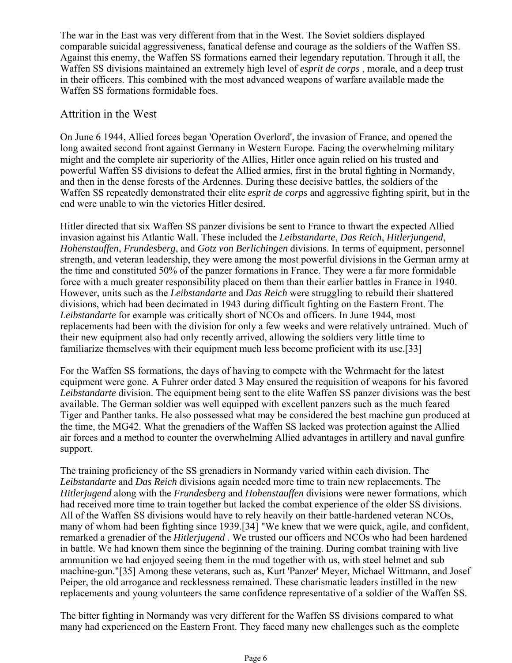The war in the East was very different from that in the West. The Soviet soldiers displayed comparable suicidal aggressiveness, fanatical defense and courage as the soldiers of the Waffen SS. Against this enemy, the Waffen SS formations earned their legendary reputation. Through it all, the Waffen SS divisions maintained an extremely high level of *esprit de corps* , morale, and a deep trust in their officers. This combined with the most advanced weapons of warfare available made the Waffen SS formations formidable foes.

## Attrition in the West

On June 6 1944, Allied forces began 'Operation Overlord', the invasion of France, and opened the long awaited second front against Germany in Western Europe. Facing the overwhelming military might and the complete air superiority of the Allies, Hitler once again relied on his trusted and powerful Waffen SS divisions to defeat the Allied armies, first in the brutal fighting in Normandy, and then in the dense forests of the Ardennes. During these decisive battles, the soldiers of the Waffen SS repeatedly demonstrated their elite *esprit de corps* and aggressive fighting spirit, but in the end were unable to win the victories Hitler desired.

Hitler directed that six Waffen SS panzer divisions be sent to France to thwart the expected Allied invasion against his Atlantic Wall. These included the *Leibstandarte*, *Das Reich*, *Hitlerjungend*, *Hohenstauffen*, *Frundesberg*, and *Gotz von Berlichingen* divisions. In terms of equipment, personnel strength, and veteran leadership, they were among the most powerful divisions in the German army at the time and constituted 50% of the panzer formations in France. They were a far more formidable force with a much greater responsibility placed on them than their earlier battles in France in 1940. However, units such as the *Leibstandarte* and *Das Reich* were struggling to rebuild their shattered divisions, which had been decimated in 1943 during difficult fighting on the Eastern Front. The *Leibstandarte* for example was critically short of NCOs and officers. In June 1944, most replacements had been with the division for only a few weeks and were relatively untrained. Much of their new equipment also had only recently arrived, allowing the soldiers very little time to familiarize themselves with their equipment much less become proficient with its use.[33]

For the Waffen SS formations, the days of having to compete with the Wehrmacht for the latest equipment were gone. A Fuhrer order dated 3 May ensured the requisition of weapons for his favored *Leibstandarte* division. The equipment being sent to the elite Waffen SS panzer divisions was the best available. The German soldier was well equipped with excellent panzers such as the much feared Tiger and Panther tanks. He also possessed what may be considered the best machine gun produced at the time, the MG42. What the grenadiers of the Waffen SS lacked was protection against the Allied air forces and a method to counter the overwhelming Allied advantages in artillery and naval gunfire support.

The training proficiency of the SS grenadiers in Normandy varied within each division. The *Leibstandarte* and *Das Reich* divisions again needed more time to train new replacements. The *Hitlerjugend* along with the *Frundesberg* and *Hohenstauffen* divisions were newer formations, which had received more time to train together but lacked the combat experience of the older SS divisions. All of the Waffen SS divisions would have to rely heavily on their battle-hardened veteran NCOs, many of whom had been fighting since 1939.[34] "We knew that we were quick, agile, and confident, remarked a grenadier of the *Hitlerjugend* . We trusted our officers and NCOs who had been hardened in battle. We had known them since the beginning of the training. During combat training with live ammunition we had enjoyed seeing them in the mud together with us, with steel helmet and sub machine-gun."[35] Among these veterans, such as, Kurt 'Panzer' Meyer, Michael Wittmann, and Josef Peiper, the old arrogance and recklessness remained. These charismatic leaders instilled in the new replacements and young volunteers the same confidence representative of a soldier of the Waffen SS.

The bitter fighting in Normandy was very different for the Waffen SS divisions compared to what many had experienced on the Eastern Front. They faced many new challenges such as the complete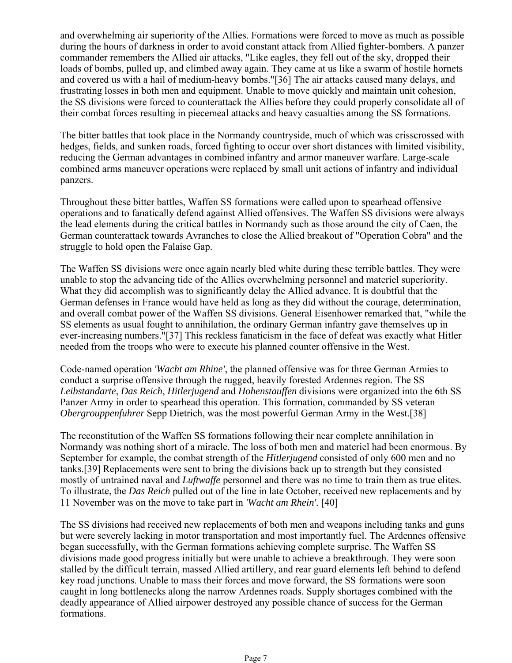and overwhelming air superiority of the Allies. Formations were forced to move as much as possible during the hours of darkness in order to avoid constant attack from Allied fighter-bombers. A panzer commander remembers the Allied air attacks, "Like eagles, they fell out of the sky, dropped their loads of bombs, pulled up, and climbed away again. They came at us like a swarm of hostile hornets and covered us with a hail of medium-heavy bombs."[36] The air attacks caused many delays, and frustrating losses in both men and equipment. Unable to move quickly and maintain unit cohesion, the SS divisions were forced to counterattack the Allies before they could properly consolidate all of their combat forces resulting in piecemeal attacks and heavy casualties among the SS formations.

The bitter battles that took place in the Normandy countryside, much of which was crisscrossed with hedges, fields, and sunken roads, forced fighting to occur over short distances with limited visibility, reducing the German advantages in combined infantry and armor maneuver warfare. Large-scale combined arms maneuver operations were replaced by small unit actions of infantry and individual panzers.

Throughout these bitter battles, Waffen SS formations were called upon to spearhead offensive operations and to fanatically defend against Allied offensives. The Waffen SS divisions were always the lead elements during the critical battles in Normandy such as those around the city of Caen, the German counterattack towards Avranches to close the Allied breakout of "Operation Cobra" and the struggle to hold open the Falaise Gap.

The Waffen SS divisions were once again nearly bled white during these terrible battles. They were unable to stop the advancing tide of the Allies overwhelming personnel and materiel superiority. What they did accomplish was to significantly delay the Allied advance. It is doubtful that the German defenses in France would have held as long as they did without the courage, determination, and overall combat power of the Waffen SS divisions. General Eisenhower remarked that, "while the SS elements as usual fought to annihilation, the ordinary German infantry gave themselves up in ever-increasing numbers."[37] This reckless fanaticism in the face of defeat was exactly what Hitler needed from the troops who were to execute his planned counter offensive in the West.

Code-named operation *'Wacht am Rhine'*, the planned offensive was for three German Armies to conduct a surprise offensive through the rugged, heavily forested Ardennes region. The SS *Leibstandarte*, *Das Reich*, *Hitlerjugend* and *Hohenstauffen* divisions were organized into the 6th SS Panzer Army in order to spearhead this operation. This formation, commanded by SS veteran *Obergrouppenfuhrer* Sepp Dietrich, was the most powerful German Army in the West.[38]

The reconstitution of the Waffen SS formations following their near complete annihilation in Normandy was nothing short of a miracle. The loss of both men and materiel had been enormous. By September for example, the combat strength of the *Hitlerjugend* consisted of only 600 men and no tanks.[39] Replacements were sent to bring the divisions back up to strength but they consisted mostly of untrained naval and *Luftwaffe* personnel and there was no time to train them as true elites. To illustrate, the *Das Reich* pulled out of the line in late October, received new replacements and by 11 November was on the move to take part in *'Wacht am Rhein'.* [40]

The SS divisions had received new replacements of both men and weapons including tanks and guns but were severely lacking in motor transportation and most importantly fuel. The Ardennes offensive began successfully, with the German formations achieving complete surprise. The Waffen SS divisions made good progress initially but were unable to achieve a breakthrough. They were soon stalled by the difficult terrain, massed Allied artillery, and rear guard elements left behind to defend key road junctions. Unable to mass their forces and move forward, the SS formations were soon caught in long bottlenecks along the narrow Ardennes roads. Supply shortages combined with the deadly appearance of Allied airpower destroyed any possible chance of success for the German formations.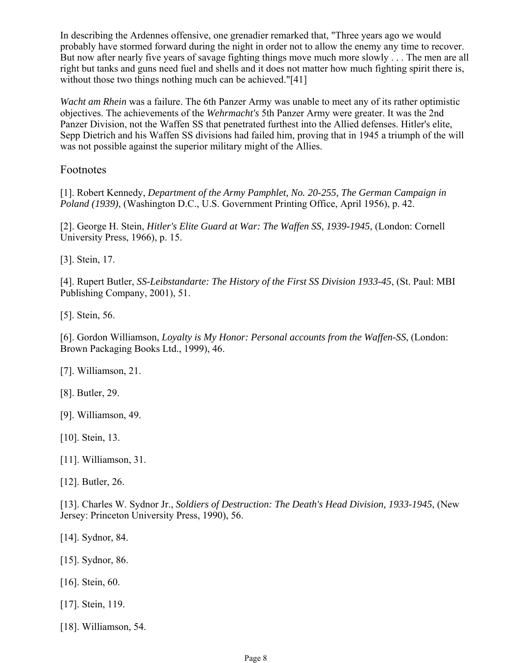In describing the Ardennes offensive, one grenadier remarked that, "Three years ago we would probably have stormed forward during the night in order not to allow the enemy any time to recover. But now after nearly five years of savage fighting things move much more slowly . . . The men are all right but tanks and guns need fuel and shells and it does not matter how much fighting spirit there is, without those two things nothing much can be achieved."[41]

*Wacht am Rhein* was a failure. The 6th Panzer Army was unable to meet any of its rather optimistic objectives. The achievements of the *Wehrmacht's* 5th Panzer Army were greater. It was the 2nd Panzer Division, not the Waffen SS that penetrated furthest into the Allied defenses. Hitler's elite, Sepp Dietrich and his Waffen SS divisions had failed him, proving that in 1945 a triumph of the will was not possible against the superior military might of the Allies.

#### Footnotes

[1]. Robert Kennedy, *Department of the Army Pamphlet, No. 20-255, The German Campaign in Poland (1939)*, (Washington D.C., U.S. Government Printing Office, April 1956), p. 42.

[2]. George H. Stein, *Hitler's Elite Guard at War: The Waffen SS, 1939-1945*, (London: Cornell University Press, 1966), p. 15.

[3]. Stein, 17.

[4]. Rupert Butler, *SS-Leibstandarte: The History of the First SS Division 1933-45*, (St. Paul: MBI Publishing Company, 2001), 51.

[5]. Stein, 56.

[6]. Gordon Williamson, *Loyalty is My Honor: Personal accounts from the Waffen-SS*, (London: Brown Packaging Books Ltd., 1999), 46.

[7]. Williamson, 21.

[8]. Butler, 29.

[9]. Williamson, 49.

[10]. Stein, 13.

[11]. Williamson, 31.

[12]. Butler, 26.

[13]. Charles W. Sydnor Jr., *Soldiers of Destruction: The Death's Head Division, 1933-1945*, (New Jersey: Princeton University Press, 1990), 56.

[14]. Sydnor, 84.

[15]. Sydnor, 86.

[16]. Stein, 60.

[17]. Stein, 119.

[18]. Williamson, 54.